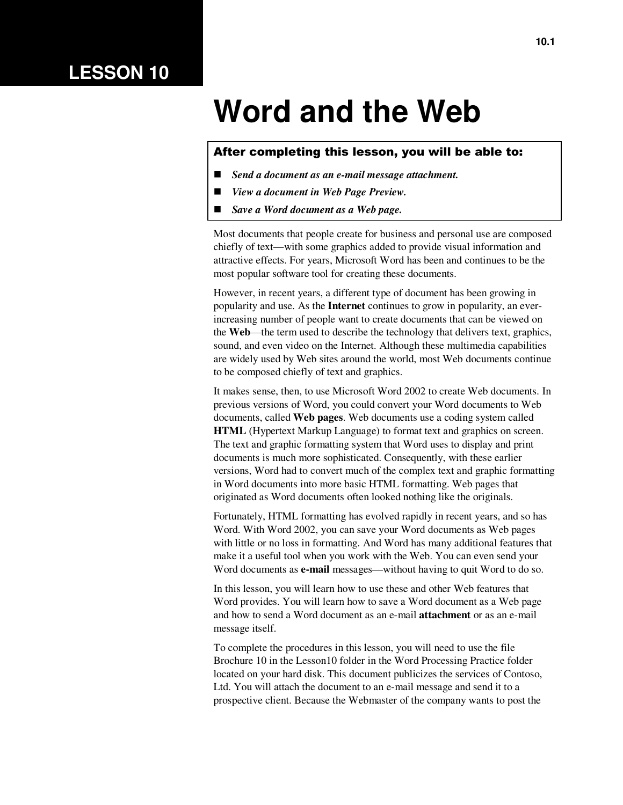## **LESSON 10**

# **Word and the Web**

#### After completing this lesson, you will be able to:

- *Send a document as an e-mail message attachment.*
- *View a document in Web Page Preview.*
- *Save a Word document as a Web page.*

Most documents that people create for business and personal use are composed chiefly of text—with some graphics added to provide visual information and attractive effects. For years, Microsoft Word has been and continues to be the most popular software tool for creating these documents.

However, in recent years, a different type of document has been growing in popularity and use. As the **Internet** continues to grow in popularity, an everincreasing number of people want to create documents that can be viewed on the **Web**—the term used to describe the technology that delivers text, graphics, sound, and even video on the Internet. Although these multimedia capabilities are widely used by Web sites around the world, most Web documents continue to be composed chiefly of text and graphics.

It makes sense, then, to use Microsoft Word 2002 to create Web documents. In previous versions of Word, you could convert your Word documents to Web documents, called **Web pages**. Web documents use a coding system called **HTML** (Hypertext Markup Language) to format text and graphics on screen. The text and graphic formatting system that Word uses to display and print documents is much more sophisticated. Consequently, with these earlier versions, Word had to convert much of the complex text and graphic formatting in Word documents into more basic HTML formatting. Web pages that originated as Word documents often looked nothing like the originals.

Fortunately, HTML formatting has evolved rapidly in recent years, and so has Word. With Word 2002, you can save your Word documents as Web pages with little or no loss in formatting. And Word has many additional features that make it a useful tool when you work with the Web. You can even send your Word documents as **e-mail** messages—without having to quit Word to do so.

In this lesson, you will learn how to use these and other Web features that Word provides. You will learn how to save a Word document as a Web page and how to send a Word document as an e-mail **attachment** or as an e-mail message itself.

To complete the procedures in this lesson, you will need to use the file Brochure 10 in the Lesson10 folder in the Word Processing Practice folder located on your hard disk. This document publicizes the services of Contoso, Ltd. You will attach the document to an e-mail message and send it to a prospective client. Because the Webmaster of the company wants to post the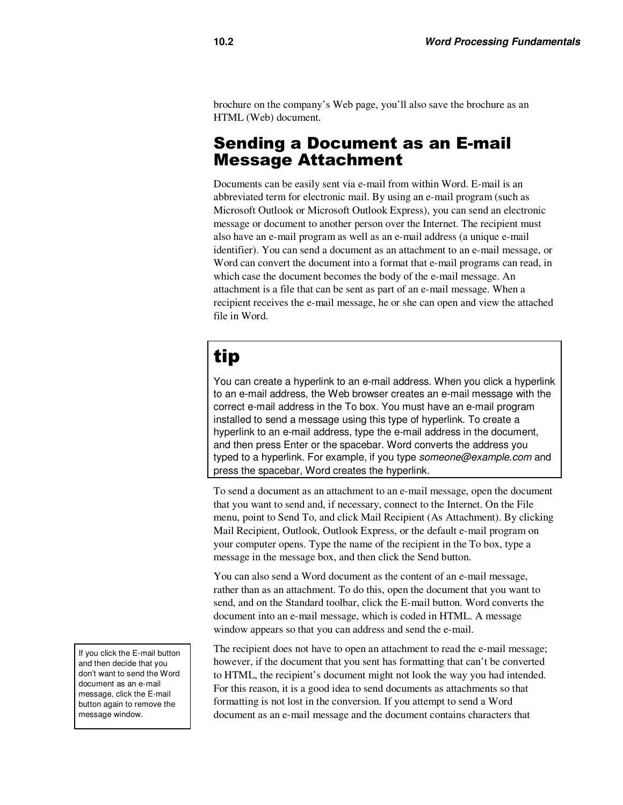brochure on the company's Web page, you'll also save the brochure as an HTML (Web) document.

#### Sending a Document as an E-mail Message Attachment

Documents can be easily sent via e-mail from within Word. E-mail is an abbreviated term for electronic mail. By using an e-mail program (such as Microsoft Outlook or Microsoft Outlook Express), you can send an electronic message or document to another person over the Internet. The recipient must also have an e-mail program as well as an e-mail address (a unique e-mail identifier). You can send a document as an attachment to an e-mail message, or Word can convert the document into a format that e-mail programs can read, in which case the document becomes the body of the e-mail message. An attachment is a file that can be sent as part of an e-mail message. When a recipient receives the e-mail message, he or she can open and view the attached file in Word.

## tip

You can create a hyperlink to an e-mail address. When you click a hyperlink to an e-mail address, the Web browser creates an e-mail message with the correct e-mail address in the To box. You must have an e-mail program installed to send a message using this type of hyperlink. To create a hyperlink to an e-mail address, type the e-mail address in the document, and then press Enter or the spacebar. Word converts the address you typed to a hyperlink. For example, if you type someone@example.com and press the spacebar, Word creates the hyperlink.

To send a document as an attachment to an e-mail message, open the document that you want to send and, if necessary, connect to the Internet. On the File menu, point to Send To, and click Mail Recipient (As Attachment). By clicking Mail Recipient, Outlook, Outlook Express, or the default e-mail program on your computer opens. Type the name of the recipient in the To box, type a message in the message box, and then click the Send button.

You can also send a Word document as the content of an e-mail message, rather than as an attachment. To do this, open the document that you want to send, and on the Standard toolbar, click the E-mail button. Word converts the document into an e-mail message, which is coded in HTML. A message window appears so that you can address and send the e-mail.

The recipient does not have to open an attachment to read the e-mail message; however, if the document that you sent has formatting that can't be converted to HTML, the recipient's document might not look the way you had intended. For this reason, it is a good idea to send documents as attachments so that formatting is not lost in the conversion. If you attempt to send a Word document as an e-mail message and the document contains characters that

If you click the E-mail button and then decide that you don't want to send the Word document as an e-mail message, click the E-mail button again to remove the message window.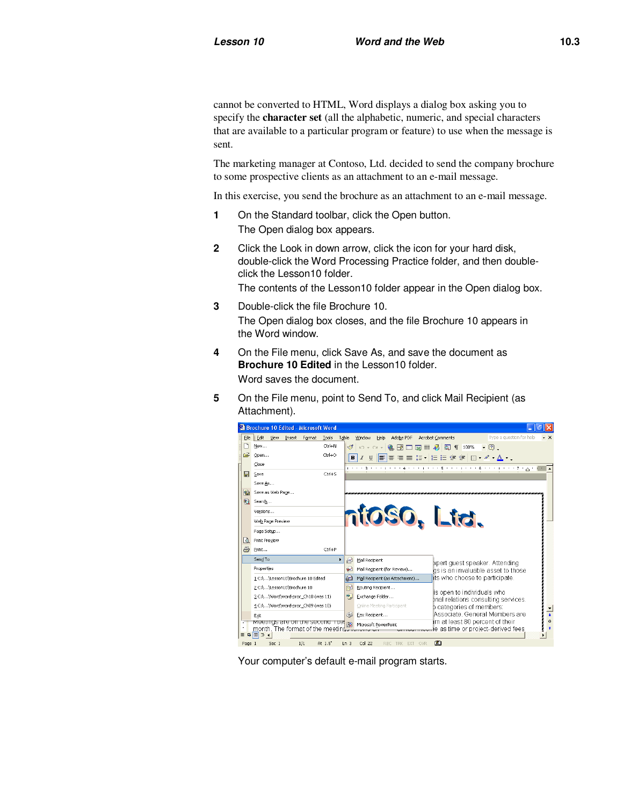cannot be converted to HTML, Word displays a dialog box asking you to specify the **character set** (all the alphabetic, numeric, and special characters that are available to a particular program or feature) to use when the message is sent.

The marketing manager at Contoso, Ltd. decided to send the company brochure to some prospective clients as an attachment to an e-mail message.

In this exercise, you send the brochure as an attachment to an e-mail message.

- **1** On the Standard toolbar, click the Open button. The Open dialog box appears.
- **2** Click the Look in down arrow, click the icon for your hard disk, double-click the Word Processing Practice folder, and then doubleclick the Lesson10 folder. The contents of the Lesson10 folder appear in the Open dialog box.
- **3** Double-click the file Brochure 10. The Open dialog box closes, and the file Brochure 10 appears in the Word window.
- **4** On the File menu, click Save As, and save the document as **Brochure 10 Edited** in the Lesson10 folder. Word saves the document.
- **5** On the File menu, point to Send To, and click Mail Recipient (as Attachment).



Your computer's default e-mail program starts.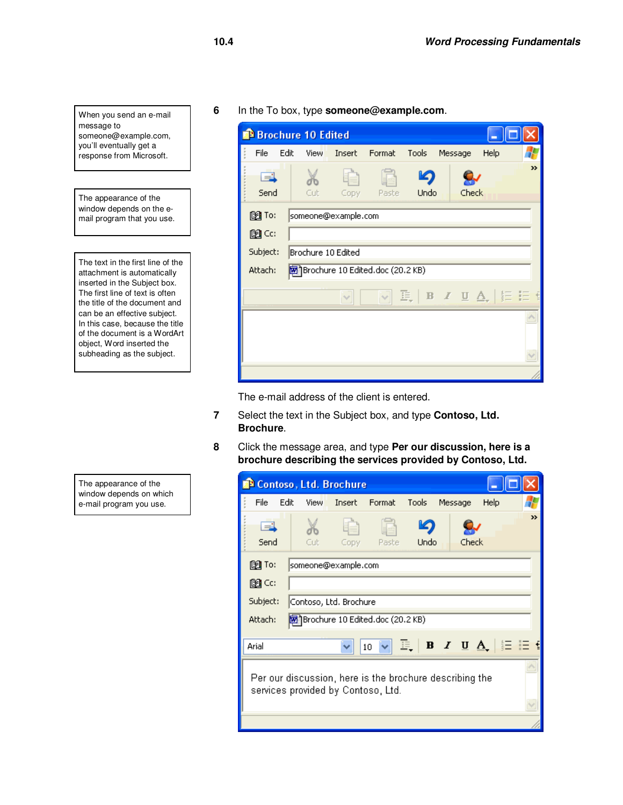When you send an e-mail message to someone@example.com, you'll eventually get a response from Microsoft.

The appearance of the window depends on the email program that you use.

The text in the first line of the attachment is automatically inserted in the Subject box. The first line of text is often the title of the document and can be an effective subject. In this case, because the title of the document is a WordArt object, Word inserted the subheading as the subject.

**6** In the To box, type **someone@example.com**.

|             | <b>Brochure 10 Edited</b>        |                    |        |       |                 |      |               |  |
|-------------|----------------------------------|--------------------|--------|-------|-----------------|------|---------------|--|
| File        | Edit<br>View                     | Insert             | Format | Tools | Message         | Help |               |  |
| E.<br>Send  | Cut                              | Copy               | Paste  | Undo  | Check           |      | $\rightarrow$ |  |
| 图 To:       | someone@example.com              |                    |        |       |                 |      |               |  |
| <b>图CC:</b> |                                  |                    |        |       |                 |      |               |  |
| Subject:    |                                  | Brochure 10 Edited |        |       |                 |      |               |  |
| Attach:     | Brochure 10 Edited.doc (20.2 KB) |                    |        |       |                 |      |               |  |
|             |                                  |                    |        |       | 重 B I U Δ   挂 挂 |      |               |  |
|             |                                  |                    |        |       |                 |      |               |  |
|             |                                  |                    |        |       |                 |      |               |  |
|             |                                  |                    |        |       |                 |      |               |  |

The e-mail address of the client is entered.

- **7** Select the text in the Subject box, and type **Contoso, Ltd. Brochure**.
- **8** Click the message area, and type **Per our discussion, here is a brochure describing the services provided by Contoso, Ltd.**

|                                                                                               | Contoso, Ltd. Brochure           |        |        |       |           |      |               |
|-----------------------------------------------------------------------------------------------|----------------------------------|--------|--------|-------|-----------|------|---------------|
| File                                                                                          | Edit<br><b>View</b>              | Insert | Format | Tools | Message   | Help |               |
| E.<br>Send                                                                                    | Cut                              | Copy   | Paste  | Undo  | Check     |      | $\rightarrow$ |
| 图 To:                                                                                         | someone@example.com              |        |        |       |           |      |               |
| 图CC:                                                                                          |                                  |        |        |       |           |      |               |
| Subject:                                                                                      | Contoso, Ltd. Brochure           |        |        |       |           |      |               |
| Attach:                                                                                       | Brochure 10 Edited.doc (20.2 KB) |        |        |       |           |      |               |
| Arial                                                                                         |                                  |        | 10     |       | VENIDA EE |      |               |
| Per our discussion, here is the brochure describing the<br>services provided by Contoso, Ltd. |                                  |        |        |       |           |      |               |

The appearance of the window depends on which e-mail program you use.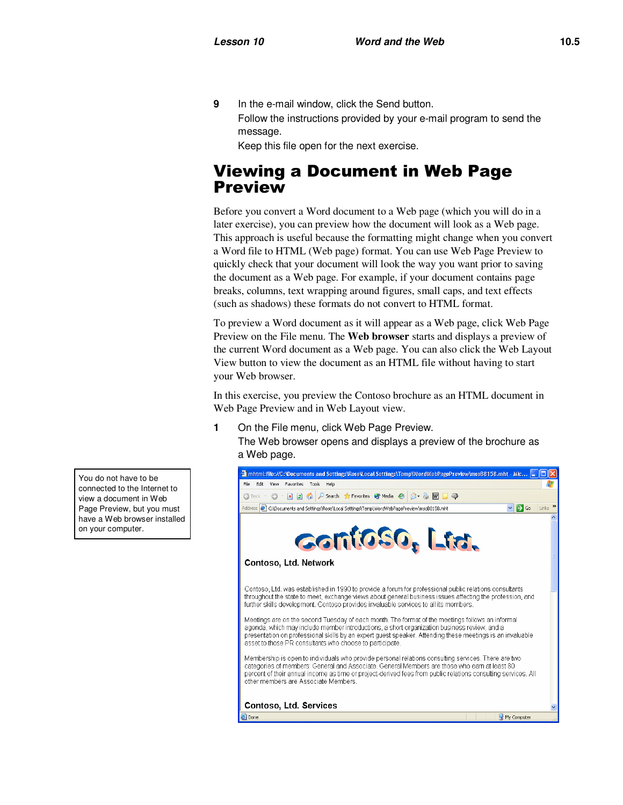**9** In the e-mail window, click the Send button. Follow the instructions provided by your e-mail program to send the message. Keep this file open for the next exercise.

#### Viewing a Document in Web Page Preview

Before you convert a Word document to a Web page (which you will do in a later exercise), you can preview how the document will look as a Web page. This approach is useful because the formatting might change when you convert a Word file to HTML (Web page) format. You can use Web Page Preview to quickly check that your document will look the way you want prior to saving the document as a Web page. For example, if your document contains page breaks, columns, text wrapping around figures, small caps, and text effects (such as shadows) these formats do not convert to HTML format.

To preview a Word document as it will appear as a Web page, click Web Page Preview on the File menu. The **Web browser** starts and displays a preview of the current Word document as a Web page. You can also click the Web Layout View button to view the document as an HTML file without having to start your Web browser.

In this exercise, you preview the Contoso brochure as an HTML document in Web Page Preview and in Web Layout view.

**1** On the File menu, click Web Page Preview.

The Web browser opens and displays a preview of the brochure as a Web page.



You do not have to be connected to the Internet to view a document in Web Page Preview, but you must have a Web browser installed on your computer.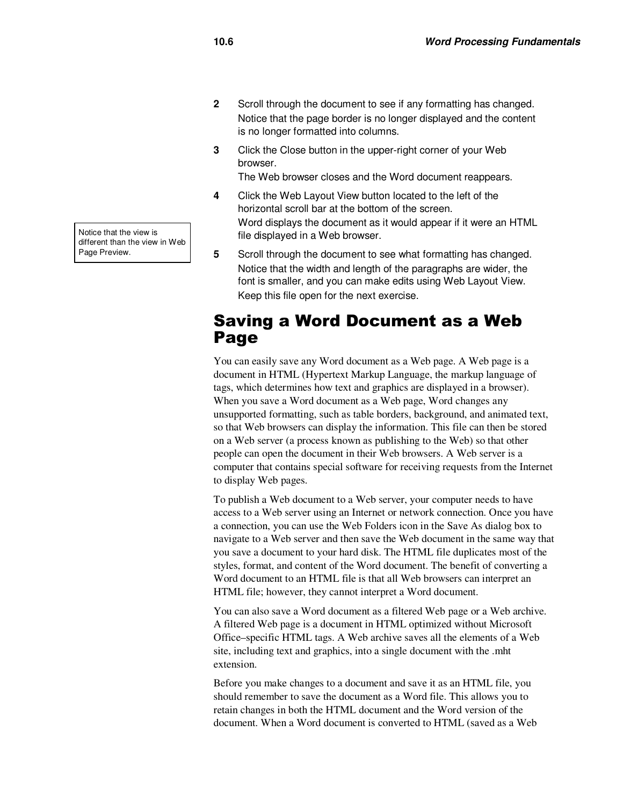- **2** Scroll through the document to see if any formatting has changed. Notice that the page border is no longer displayed and the content is no longer formatted into columns.
- **3** Click the Close button in the upper-right corner of your Web browser.

The Web browser closes and the Word document reappears.

- **4** Click the Web Layout View button located to the left of the horizontal scroll bar at the bottom of the screen. Word displays the document as it would appear if it were an HTML file displayed in a Web browser.
- **5** Scroll through the document to see what formatting has changed. Notice that the width and length of the paragraphs are wider, the font is smaller, and you can make edits using Web Layout View. Keep this file open for the next exercise.

#### Saving a Word Document as a Web Page

You can easily save any Word document as a Web page. A Web page is a document in HTML (Hypertext Markup Language, the markup language of tags, which determines how text and graphics are displayed in a browser). When you save a Word document as a Web page, Word changes any unsupported formatting, such as table borders, background, and animated text, so that Web browsers can display the information. This file can then be stored on a Web server (a process known as publishing to the Web) so that other people can open the document in their Web browsers. A Web server is a computer that contains special software for receiving requests from the Internet to display Web pages.

To publish a Web document to a Web server, your computer needs to have access to a Web server using an Internet or network connection. Once you have a connection, you can use the Web Folders icon in the Save As dialog box to navigate to a Web server and then save the Web document in the same way that you save a document to your hard disk. The HTML file duplicates most of the styles, format, and content of the Word document. The benefit of converting a Word document to an HTML file is that all Web browsers can interpret an HTML file; however, they cannot interpret a Word document.

You can also save a Word document as a filtered Web page or a Web archive. A filtered Web page is a document in HTML optimized without Microsoft Office–specific HTML tags. A Web archive saves all the elements of a Web site, including text and graphics, into a single document with the .mht extension.

Before you make changes to a document and save it as an HTML file, you should remember to save the document as a Word file. This allows you to retain changes in both the HTML document and the Word version of the document. When a Word document is converted to HTML (saved as a Web

Notice that the view is different than the view in Web Page Preview.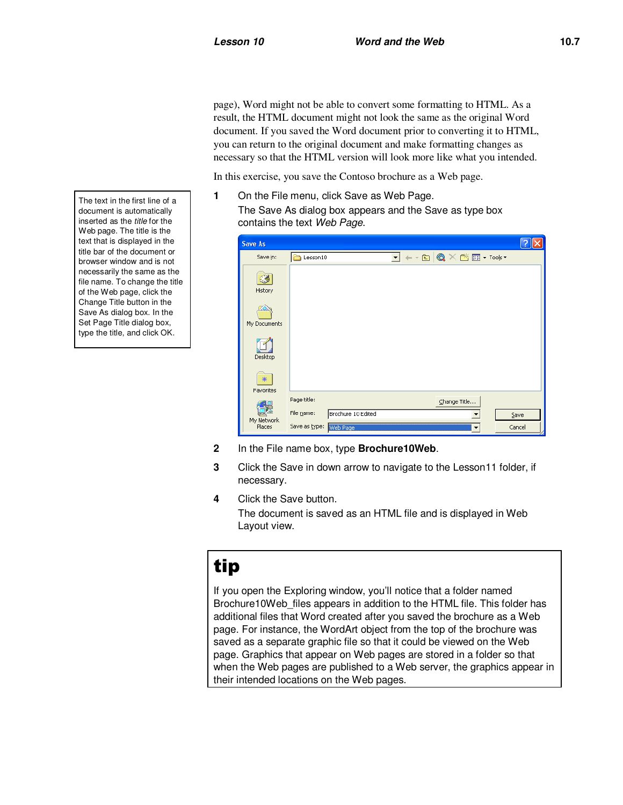page), Word might not be able to convert some formatting to HTML. As a result, the HTML document might not look the same as the original Word document. If you saved the Word document prior to converting it to HTML, you can return to the original document and make formatting changes as necessary so that the HTML version will look more like what you intended.

In this exercise, you save the Contoso brochure as a Web page.

**1** On the File menu, click Save as Web Page.

| The Save As dialog box appears and the Save as type box |  |
|---------------------------------------------------------|--|
| contains the text Web Page.                             |  |

| <b>Save As</b>                          |               |                    |   |  |                                                                                                                   |        |
|-----------------------------------------|---------------|--------------------|---|--|-------------------------------------------------------------------------------------------------------------------|--------|
| Save in:                                | Lesson10      |                    | ▾ |  | $\leftarrow$ $\left \bigcirc\right $ $\leftarrow$ $\left \bigcirc\right $ $\left \leftarrow$ $\left \circ\right $ |        |
| History<br>My Documents<br>Desktop<br>⋇ |               |                    |   |  |                                                                                                                   |        |
| Favorites                               | Page title:   |                    |   |  |                                                                                                                   |        |
| My Network                              |               |                    |   |  | Change Title                                                                                                      |        |
|                                         | File name:    | Brochure 10 Edited |   |  |                                                                                                                   | Save   |
| Places                                  | Save as type: | Web Page           |   |  | ▼                                                                                                                 | Cancel |

- **2** In the File name box, type **Brochure10Web**.
- **3** Click the Save in down arrow to navigate to the Lesson11 folder, if necessary.
- **4** Click the Save button.

The document is saved as an HTML file and is displayed in Web Layout view.

## tip

If you open the Exploring window, you'll notice that a folder named Brochure10Web files appears in addition to the HTML file. This folder has additional files that Word created after you saved the brochure as a Web page. For instance, the WordArt object from the top of the brochure was saved as a separate graphic file so that it could be viewed on the Web page. Graphics that appear on Web pages are stored in a folder so that when the Web pages are published to a Web server, the graphics appear in their intended locations on the Web pages.

The text in the first line of a document is automatically inserted as the title for the Web page. The title is the text that is displayed in the title bar of the document or browser window and is not necessarily the same as the file name. To change the title of the Web page, click the Change Title button in the Save As dialog box. In the Set Page Title dialog box, type the title, and click OK.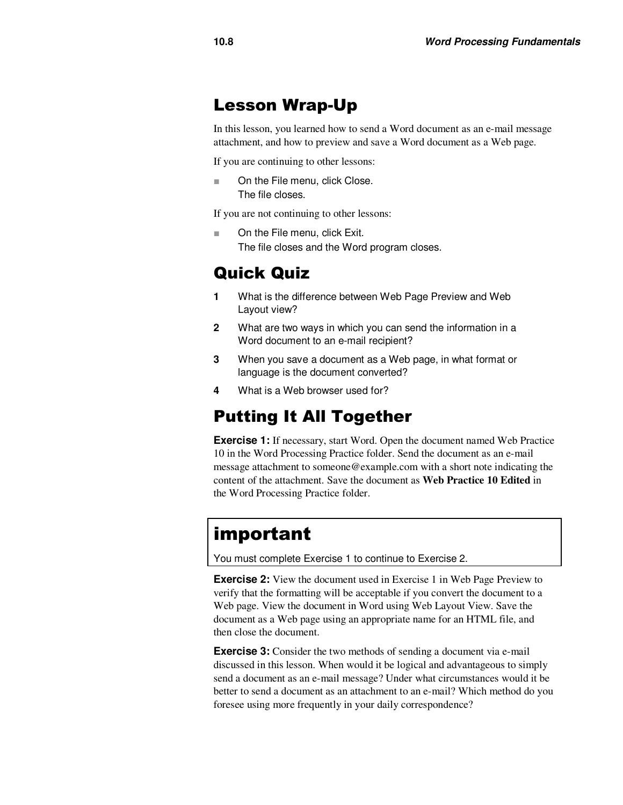### Lesson Wrap-Up

In this lesson, you learned how to send a Word document as an e-mail message attachment, and how to preview and save a Word document as a Web page.

If you are continuing to other lessons:

On the File menu, click Close. The file closes.

If you are not continuing to other lessons:

■ On the File menu, click Exit. The file closes and the Word program closes.

## Quick Quiz

- **1** What is the difference between Web Page Preview and Web Layout view?
- **2** What are two ways in which you can send the information in a Word document to an e-mail recipient?
- **3** When you save a document as a Web page, in what format or language is the document converted?
- **4** What is a Web browser used for?

## Putting It All Together

**Exercise 1:** If necessary, start Word. Open the document named Web Practice 10 in the Word Processing Practice folder. Send the document as an e-mail message attachment to someone@example.com with a short note indicating the content of the attachment. Save the document as **Web Practice 10 Edited** in the Word Processing Practice folder.

## important

You must complete Exercise 1 to continue to Exercise 2.

**Exercise 2:** View the document used in Exercise 1 in Web Page Preview to verify that the formatting will be acceptable if you convert the document to a Web page. View the document in Word using Web Layout View. Save the document as a Web page using an appropriate name for an HTML file, and then close the document.

**Exercise 3:** Consider the two methods of sending a document via e-mail discussed in this lesson. When would it be logical and advantageous to simply send a document as an e-mail message? Under what circumstances would it be better to send a document as an attachment to an e-mail? Which method do you foresee using more frequently in your daily correspondence?